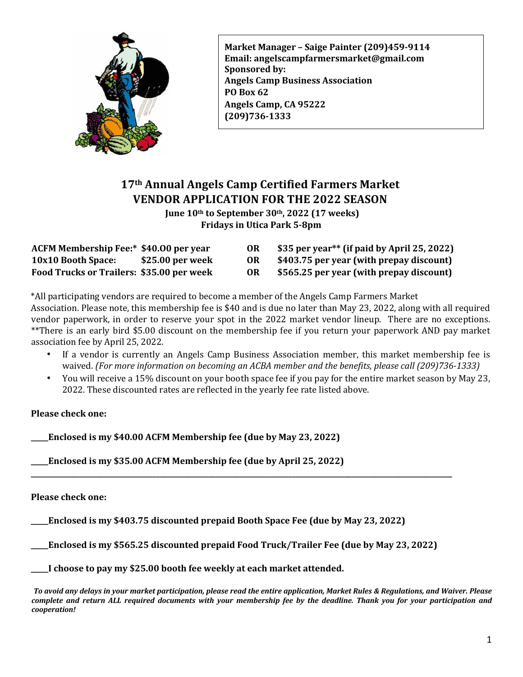

**Market Manager – Saige Painter (209)459-9114 Email: angelscampfarmersmarket@gmail.com Sponsored by: Angels Camp Business Association PO** Box 62 Angels Camp, CA 95222 **(209)736-1333** 

## **17th Annual Angels Camp Certified Farmers Market VENDOR APPLICATION FOR THE 2022 SEASON**

**June 10th** to September 30th, 2022 (17 weeks) **Fridays in Utica Park 5-8pm** 

| ACFM Membership Fee:* \$40.00 per year    |                  |     | \$35 per year** (if paid by April 25, 2022) |
|-------------------------------------------|------------------|-----|---------------------------------------------|
| <b>10x10 Booth Space:</b>                 | \$25.00 per week | OR  | \$403.75 per year (with prepay discount)    |
| Food Trucks or Trailers: \$35.00 per week |                  | OR. | \$565.25 per year (with prepay discount)    |

\*All participating vendors are required to become a member of the Angels Camp Farmers Market Association. Please note, this membership fee is \$40 and is due no later than May 23, 2022, along with all required vendor paperwork, in order to reserve your spot in the 2022 market vendor lineup. There are no exceptions. \*\*There is an early bird \$5.00 discount on the membership fee if you return your paperwork AND pay market association fee by April 25, 2022.

- If a vendor is currently an Angels Camp Business Association member, this market membership fee is waived. (For more information on becoming an ACBA member and the benefits, please call (209)736-1333)
- You will receive a 15% discount on your booth space fee if you pay for the entire market season by May 23, 2022. These discounted rates are reflected in the yearly fee rate listed above.

#### **Please check one:**

**Enclosed is my \$40.00 ACFM Membership fee (due by May 23, 2022)** 

**\_\_Enclosed is my \$35.00 ACFM Membership fee (due by April 25, 2022)** 

**Please check one:** 

**Enclosed is my \$403.75 discounted prepaid Booth Space Fee (due by May 23, 2022)** 

**\_Enclosed is my \$565.25 discounted prepaid Food Truck/Trailer Fee (due by May 23, 2022)** 

**\_\_\_\_\_\_\_\_\_\_\_\_\_\_\_\_\_\_\_\_\_\_\_\_\_\_\_\_\_\_\_\_\_\_\_\_\_\_\_\_\_\_\_\_\_\_\_\_\_\_\_\_\_\_\_\_\_\_\_\_\_\_\_\_\_\_\_\_\_\_\_\_\_\_\_\_\_\_\_\_\_\_\_\_\_\_\_\_\_\_\_\_\_\_\_\_\_\_\_\_\_\_\_\_\_\_\_\_\_\_\_\_\_\_\_\_\_\_\_\_\_** 

**\_\_\_\_I** choose to pay my \$25.00 booth fee weekly at each market attended.

To avoid any delays in your market participation, please read the entire application, Market Rules & Regulations, and Waiver. Please *complete and return ALL required documents with your membership fee by the deadline. Thank you for your participation and cooperation!*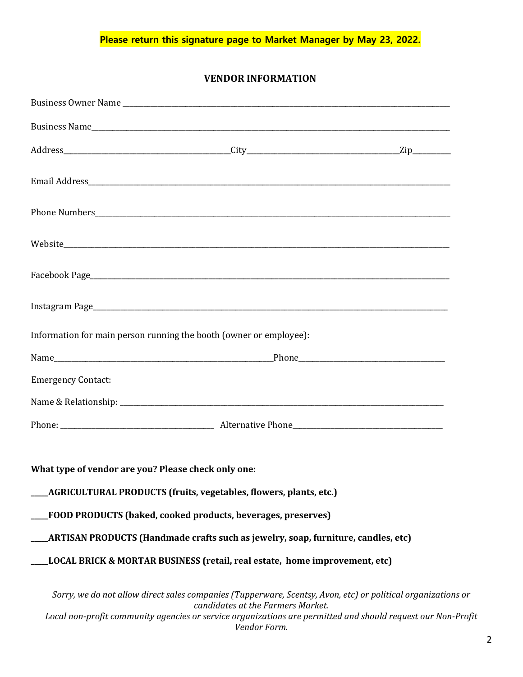**Please return this signature page to Market Manager by May 23, 2022.**

## **VENDOR INFORMATION**

| Information for main person running the booth (owner or employee): |                                                                                   |                                                                                                                                                                                                                              |
|--------------------------------------------------------------------|-----------------------------------------------------------------------------------|------------------------------------------------------------------------------------------------------------------------------------------------------------------------------------------------------------------------------|
|                                                                    |                                                                                   |                                                                                                                                                                                                                              |
| <b>Emergency Contact:</b>                                          |                                                                                   |                                                                                                                                                                                                                              |
|                                                                    |                                                                                   |                                                                                                                                                                                                                              |
|                                                                    |                                                                                   |                                                                                                                                                                                                                              |
| What type of vendor are you? Please check only one:                |                                                                                   |                                                                                                                                                                                                                              |
|                                                                    | <b>AGRICULTURAL PRODUCTS (fruits, vegetables, flowers, plants, etc.)</b>          |                                                                                                                                                                                                                              |
|                                                                    | <b>FOOD PRODUCTS (baked, cooked products, beverages, preserves)</b>               |                                                                                                                                                                                                                              |
|                                                                    | ARTISAN PRODUCTS (Handmade crafts such as jewelry, soap, furniture, candles, etc) |                                                                                                                                                                                                                              |
|                                                                    | LOCAL BRICK & MORTAR BUSINESS (retail, real estate, home improvement, etc)        |                                                                                                                                                                                                                              |
|                                                                    | candidates at the Farmers Market.                                                 | Sorry, we do not allow direct sales companies (Tupperware, Scentsy, Avon, etc) or political organizations or<br>Local non-profit community agencies or service organizations are permitted and should request our Non-Profit |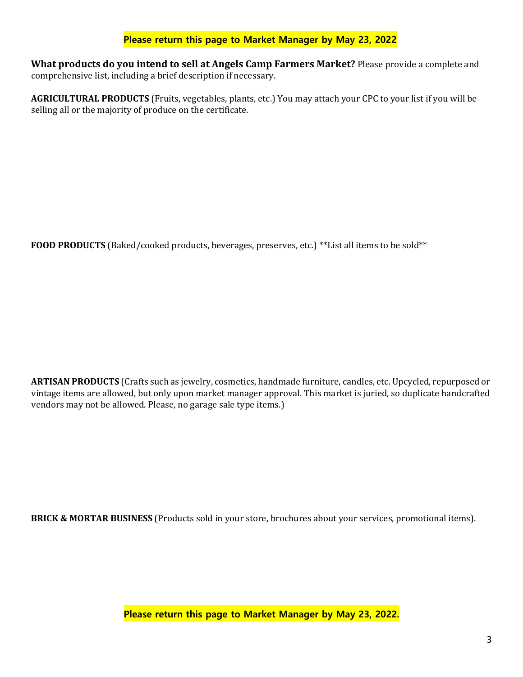## **Please return this page to Market Manager by May 23, 2022**

**What products do you intend to sell at Angels Camp Farmers Market?** Please provide a complete and comprehensive list, including a brief description if necessary.

AGRICULTURAL PRODUCTS (Fruits, vegetables, plants, etc.) You may attach your CPC to your list if you will be selling all or the majority of produce on the certificate.

FOOD PRODUCTS (Baked/cooked products, beverages, preserves, etc.) \*\*List all items to be sold\*\*

**ARTISAN PRODUCTS** (Crafts such as jewelry, cosmetics, handmade furniture, candles, etc. Upcycled, repurposed or vintage items are allowed, but only upon market manager approval. This market is juried, so duplicate handcrafted vendors may not be allowed. Please, no garage sale type items.)

**BRICK & MORTAR BUSINESS** (Products sold in your store, brochures about your services, promotional items).

**Please return this page to Market Manager by May 23, 2022.**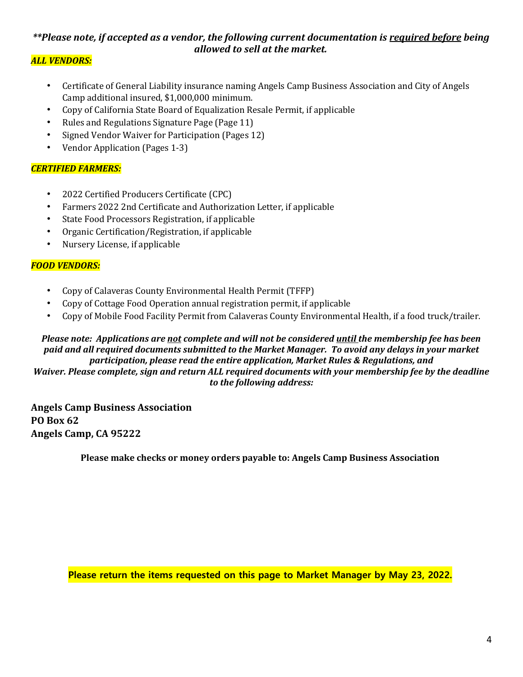## *\*\*Please note, if accepted as a vendor, the following current documentation is required before being allowed to sell at the market.*

## *ALL VENDORS:*

- Certificate of General Liability insurance naming Angels Camp Business Association and City of Angels Camp additional insured, \$1,000,000 minimum.
- Copy of California State Board of Equalization Resale Permit, if applicable
- Rules and Regulations Signature Page (Page 11)
- Signed Vendor Waiver for Participation (Pages 12)
- Vendor Application (Pages 1-3)

### *CERTIFIED FARMERS:*

- 2022 Certified Producers Certificate (CPC)
- Farmers 2022 2nd Certificate and Authorization Letter, if applicable
- State Food Processors Registration, if applicable
- Organic Certification/Registration, if applicable
- Nursery License, if applicable

## *FOOD VENDORS:*

- Copy of Calaveras County Environmental Health Permit (TFFP)
- Copy of Cottage Food Operation annual registration permit, if applicable
- Copy of Mobile Food Facility Permit from Calaveras County Environmental Health, if a food truck/trailer.

#### *Please note: Applications are not complete and will not be considered until the membership fee has been paid and all required documents submitted to the Market Manager. To avoid any delays in your market* participation, please read the entire application, Market Rules & Regulations, and *Waiver.* Please complete, sign and return ALL required documents with your membership fee by the deadline to the following address:

**Angels Camp Business Association PO** Box 62 Angels Camp, CA 95222

**Please make checks or money orders payable to: Angels Camp Business Association** 

**Please return the items requested on this page to Market Manager by May 23, 2022.**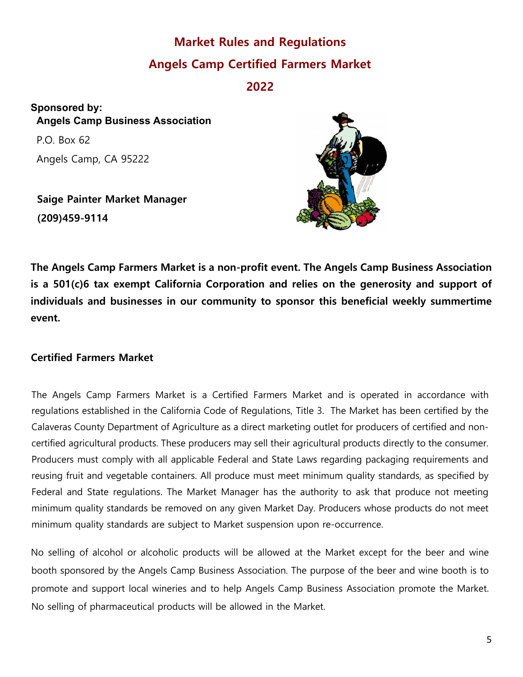# **Market Rules and Regulations Angels Camp Certified Farmers Market**

**2022**

**Sponsored by: Angels Camp Business Association**  P.O. Box 62 Angels Camp, CA 95222

**Saige Painter Market Manager (209)459-9114**



**The Angels Camp Farmers Market is a non-profit event. The Angels Camp Business Association is a 501(c)6 tax exempt California Corporation and relies on the generosity and support of individuals and businesses in our community to sponsor this beneficial weekly summertime event.** 

## **Certified Farmers Market**

The Angels Camp Farmers Market is a Certified Farmers Market and is operated in accordance with regulations established in the California Code of Regulations, Title 3. The Market has been certified by the Calaveras County Department of Agriculture as a direct marketing outlet for producers of certified and noncertified agricultural products. These producers may sell their agricultural products directly to the consumer. Producers must comply with all applicable Federal and State Laws regarding packaging requirements and reusing fruit and vegetable containers. All produce must meet minimum quality standards, as specified by Federal and State regulations. The Market Manager has the authority to ask that produce not meeting minimum quality standards be removed on any given Market Day. Producers whose products do not meet minimum quality standards are subject to Market suspension upon re-occurrence.

No selling of alcohol or alcoholic products will be allowed at the Market except for the beer and wine booth sponsored by the Angels Camp Business Association. The purpose of the beer and wine booth is to promote and support local wineries and to help Angels Camp Business Association promote the Market. No selling of pharmaceutical products will be allowed in the Market.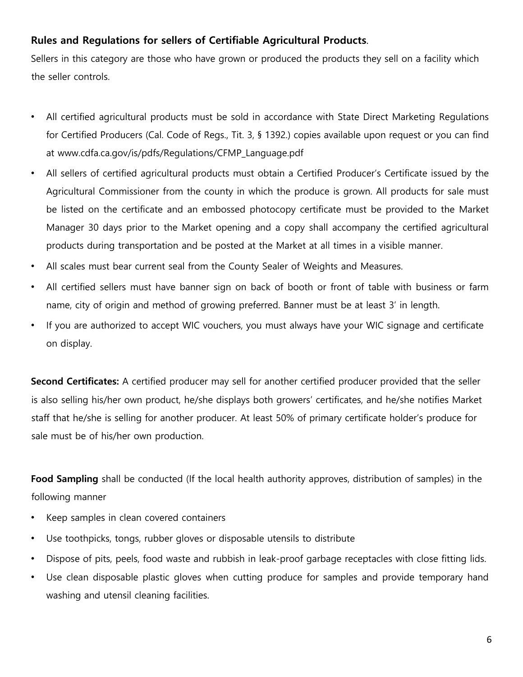## **Rules and Regulations for sellers of Certifiable Agricultural Products**.

Sellers in this category are those who have grown or produced the products they sell on a facility which the seller controls.

- All certified agricultural products must be sold in accordance with State Direct Marketing Regulations for Certified Producers (Cal. Code of Regs., Tit. 3, § 1392.) copies available upon request or you can find at www.cdfa.ca.gov/is/pdfs/Regulations/CFMP\_Language.pdf
- All sellers of certified agricultural products must obtain a Certified Producer's Certificate issued by the Agricultural Commissioner from the county in which the produce is grown. All products for sale must be listed on the certificate and an embossed photocopy certificate must be provided to the Market Manager 30 days prior to the Market opening and a copy shall accompany the certified agricultural products during transportation and be posted at the Market at all times in a visible manner.
- All scales must bear current seal from the County Sealer of Weights and Measures.
- All certified sellers must have banner sign on back of booth or front of table with business or farm name, city of origin and method of growing preferred. Banner must be at least 3' in length.
- If you are authorized to accept WIC vouchers, you must always have your WIC signage and certificate on display.

**Second Certificates:** A certified producer may sell for another certified producer provided that the seller is also selling his/her own product, he/she displays both growers' certificates, and he/she notifies Market staff that he/she is selling for another producer. At least 50% of primary certificate holder's produce for sale must be of his/her own production.

**Food Sampling** shall be conducted (If the local health authority approves, distribution of samples) in the following manner

- Keep samples in clean covered containers
- Use toothpicks, tongs, rubber gloves or disposable utensils to distribute
- Dispose of pits, peels, food waste and rubbish in leak-proof garbage receptacles with close fitting lids.
- Use clean disposable plastic gloves when cutting produce for samples and provide temporary hand washing and utensil cleaning facilities.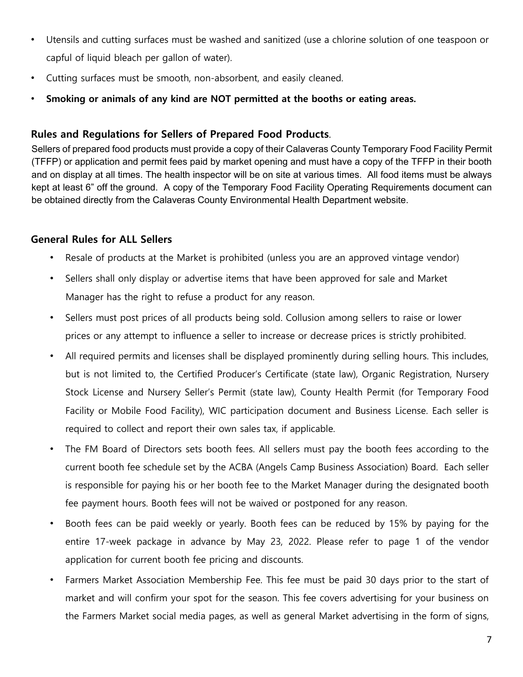- Utensils and cutting surfaces must be washed and sanitized (use a chlorine solution of one teaspoon or capful of liquid bleach per gallon of water).
- Cutting surfaces must be smooth, non-absorbent, and easily cleaned.
- **Smoking or animals of any kind are NOT permitted at the booths or eating areas.**

## **Rules and Regulations for Sellers of Prepared Food Products**.

Sellers of prepared food products must provide a copy of their Calaveras County Temporary Food Facility Permit (TFFP) or application and permit fees paid by market opening and must have a copy of the TFFP in their booth and on display at all times. The health inspector will be on site at various times. All food items must be always kept at least 6" off the ground. A copy of the Temporary Food Facility Operating Requirements document can be obtained directly from the Calaveras County Environmental Health Department website.

## **General Rules for ALL Sellers**

- Resale of products at the Market is prohibited (unless you are an approved vintage vendor)
- Sellers shall only display or advertise items that have been approved for sale and Market Manager has the right to refuse a product for any reason.
- Sellers must post prices of all products being sold. Collusion among sellers to raise or lower prices or any attempt to influence a seller to increase or decrease prices is strictly prohibited.
- All required permits and licenses shall be displayed prominently during selling hours. This includes, but is not limited to, the Certified Producer's Certificate (state law), Organic Registration, Nursery Stock License and Nursery Seller's Permit (state law), County Health Permit (for Temporary Food Facility or Mobile Food Facility), WIC participation document and Business License. Each seller is required to collect and report their own sales tax, if applicable.
- The FM Board of Directors sets booth fees. All sellers must pay the booth fees according to the current booth fee schedule set by the ACBA (Angels Camp Business Association) Board. Each seller is responsible for paying his or her booth fee to the Market Manager during the designated booth fee payment hours. Booth fees will not be waived or postponed for any reason.
- Booth fees can be paid weekly or yearly. Booth fees can be reduced by 15% by paying for the entire 17-week package in advance by May 23, 2022. Please refer to page 1 of the vendor application for current booth fee pricing and discounts.
- Farmers Market Association Membership Fee. This fee must be paid 30 days prior to the start of market and will confirm your spot for the season. This fee covers advertising for your business on the Farmers Market social media pages, as well as general Market advertising in the form of signs,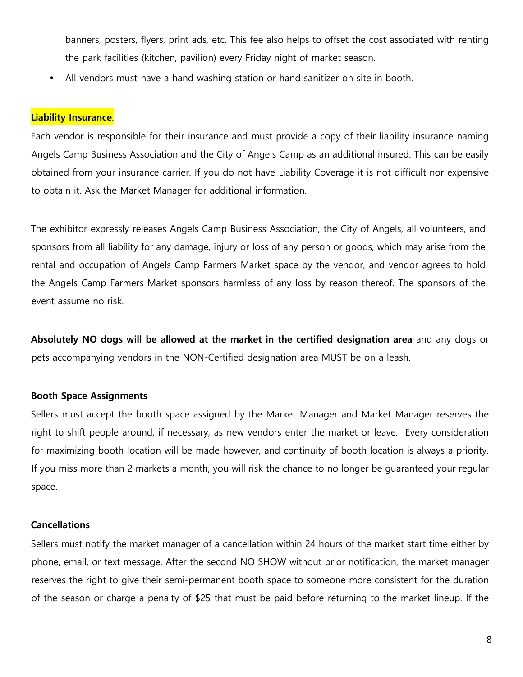banners, posters, flyers, print ads, etc. This fee also helps to offset the cost associated with renting the park facilities (kitchen, pavilion) every Friday night of market season.

• All vendors must have a hand washing station or hand sanitizer on site in booth.

#### **Liability Insurance**:

Each vendor is responsible for their insurance and must provide a copy of their liability insurance naming Angels Camp Business Association and the City of Angels Camp as an additional insured. This can be easily obtained from your insurance carrier. If you do not have Liability Coverage it is not difficult nor expensive to obtain it. Ask the Market Manager for additional information.

The exhibitor expressly releases Angels Camp Business Association, the City of Angels, all volunteers, and sponsors from all liability for any damage, injury or loss of any person or goods, which may arise from the rental and occupation of Angels Camp Farmers Market space by the vendor, and vendor agrees to hold the Angels Camp Farmers Market sponsors harmless of any loss by reason thereof. The sponsors of the event assume no risk.

**Absolutely NO dogs will be allowed at the market in the certified designation area** and any dogs or pets accompanying vendors in the NON-Certified designation area MUST be on a leash.

#### **Booth Space Assignments**

Sellers must accept the booth space assigned by the Market Manager and Market Manager reserves the right to shift people around, if necessary, as new vendors enter the market or leave. Every consideration for maximizing booth location will be made however, and continuity of booth location is always a priority. If you miss more than 2 markets a month, you will risk the chance to no longer be guaranteed your regular space.

#### **Cancellations**

Sellers must notify the market manager of a cancellation within 24 hours of the market start time either by phone, email, or text message. After the second NO SHOW without prior notification, the market manager reserves the right to give their semi-permanent booth space to someone more consistent for the duration of the season or charge a penalty of \$25 that must be paid before returning to the market lineup. If the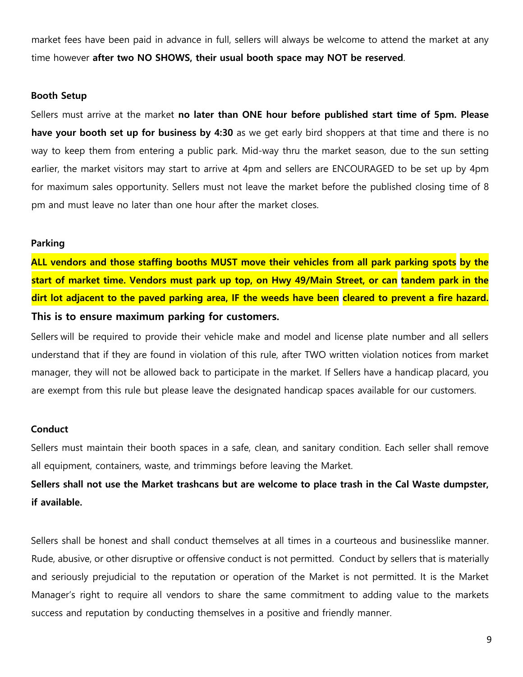market fees have been paid in advance in full, sellers will always be welcome to attend the market at any time however **after two NO SHOWS, their usual booth space may NOT be reserved**.

#### **Booth Setup**

Sellers must arrive at the market **no later than ONE hour before published start time of 5pm. Please have your booth set up for business by 4:30** as we get early bird shoppers at that time and there is no way to keep them from entering a public park. Mid-way thru the market season, due to the sun setting earlier, the market visitors may start to arrive at 4pm and sellers are ENCOURAGED to be set up by 4pm for maximum sales opportunity. Sellers must not leave the market before the published closing time of 8 pm and must leave no later than one hour after the market closes.

#### **Parking**

**ALL vendors and those staffing booths MUST move their vehicles from all park parking spots by the start of market time. Vendors must park up top, on Hwy 49/Main Street, or can tandem park in the dirt lot adjacent to the paved parking area, IF the weeds have been cleared to prevent a fire hazard. This is to ensure maximum parking for customers.**

Sellers will be required to provide their vehicle make and model and license plate number and all sellers understand that if they are found in violation of this rule, after TWO written violation notices from market manager, they will not be allowed back to participate in the market. If Sellers have a handicap placard, you are exempt from this rule but please leave the designated handicap spaces available for our customers.

#### **Conduct**

Sellers must maintain their booth spaces in a safe, clean, and sanitary condition. Each seller shall remove all equipment, containers, waste, and trimmings before leaving the Market.

**Sellers shall not use the Market trashcans but are welcome to place trash in the Cal Waste dumpster, if available.** 

Sellers shall be honest and shall conduct themselves at all times in a courteous and businesslike manner. Rude, abusive, or other disruptive or offensive conduct is not permitted. Conduct by sellers that is materially and seriously prejudicial to the reputation or operation of the Market is not permitted. It is the Market Manager's right to require all vendors to share the same commitment to adding value to the markets success and reputation by conducting themselves in a positive and friendly manner.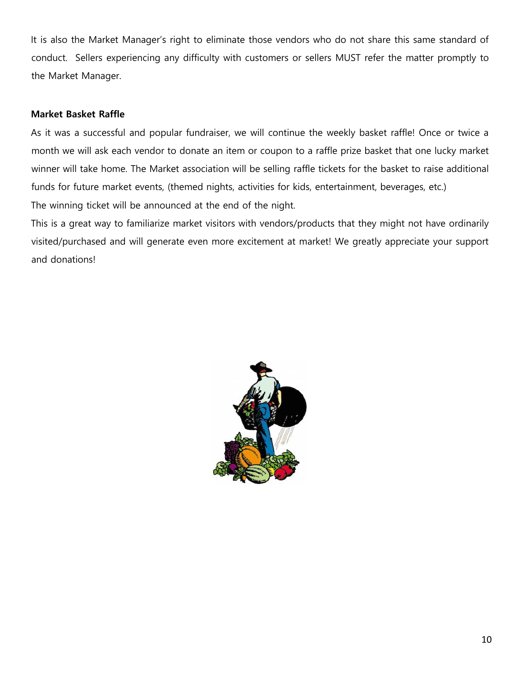It is also the Market Manager's right to eliminate those vendors who do not share this same standard of conduct. Sellers experiencing any difficulty with customers or sellers MUST refer the matter promptly to the Market Manager.

#### **Market Basket Raffle**

As it was a successful and popular fundraiser, we will continue the weekly basket raffle! Once or twice a month we will ask each vendor to donate an item or coupon to a raffle prize basket that one lucky market winner will take home. The Market association will be selling raffle tickets for the basket to raise additional funds for future market events, (themed nights, activities for kids, entertainment, beverages, etc.) The winning ticket will be announced at the end of the night.

This is a great way to familiarize market visitors with vendors/products that they might not have ordinarily visited/purchased and will generate even more excitement at market! We greatly appreciate your support and donations!

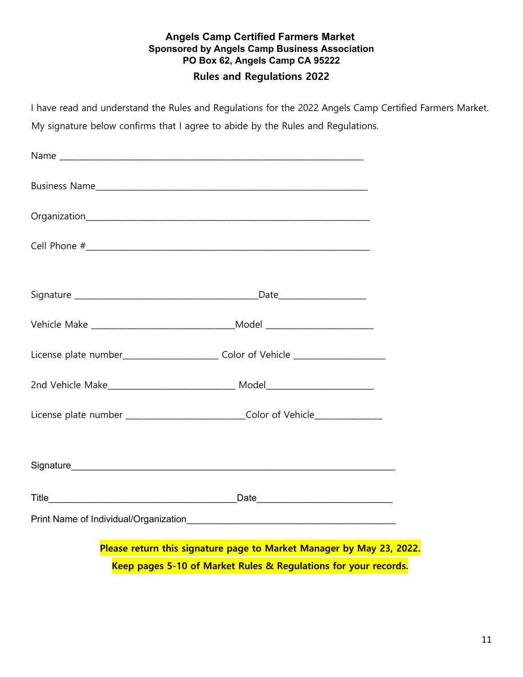## **Angels Camp Certified Farmers Market Sponsored by Angels Camp Business Association PO Box 62, Angels Camp CA 95222 Rules and Regulations 2022**

I have read and understand the Rules and Regulations for the 2022 Angels Camp Certified Farmers Market.

My signature below confirms that I agree to abide by the Rules and Regulations.

| License plate number____________________________ Color of Vehicle _______________                                                       |  |  |  |  |
|-----------------------------------------------------------------------------------------------------------------------------------------|--|--|--|--|
|                                                                                                                                         |  |  |  |  |
| License plate number _____________________________Color of Vehicle______________                                                        |  |  |  |  |
|                                                                                                                                         |  |  |  |  |
|                                                                                                                                         |  |  |  |  |
|                                                                                                                                         |  |  |  |  |
|                                                                                                                                         |  |  |  |  |
| Please return this signature page to Market Manager by May 23, 2022.<br>Keep pages 5-10 of Market Rules & Regulations for your records. |  |  |  |  |
|                                                                                                                                         |  |  |  |  |